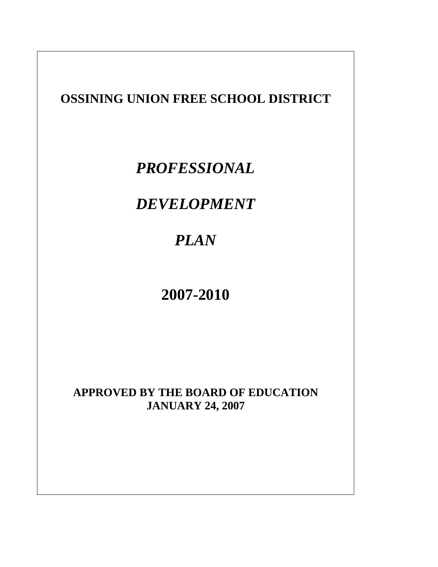# **OSSINING UNION FREE SCHOOL DISTRICT**

# *PROFESSIONAL*

# *DEVELOPMENT*

# *PLAN*

# **2007-2010**

# **APPROVED BY THE BOARD OF EDUCATION JANUARY 24, 2007**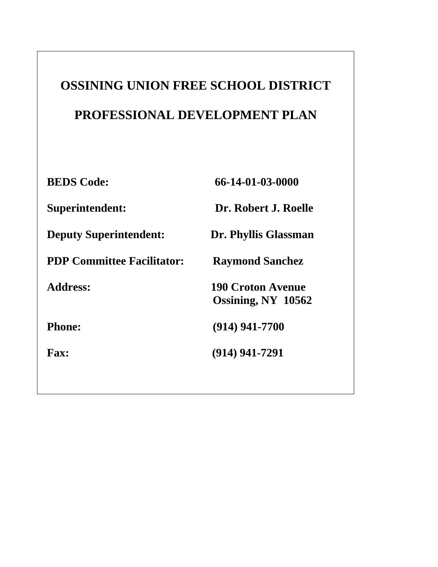# **OSSINING UNION FREE SCHOOL DISTRICT PROFESSIONAL DEVELOPMENT PLAN**

 **BEDS Code: 66-14-01-03-0000 Superintendent: Dr. Robert J. Roelle Deputy Superintendent: Dr. Phyllis Glassman PDP Committee Facilitator: Raymond Sanchez Address: 190 Croton Avenue Ossining, NY 10562 Phone:** (914) 941-7700  **Fax: (914) 941-7291**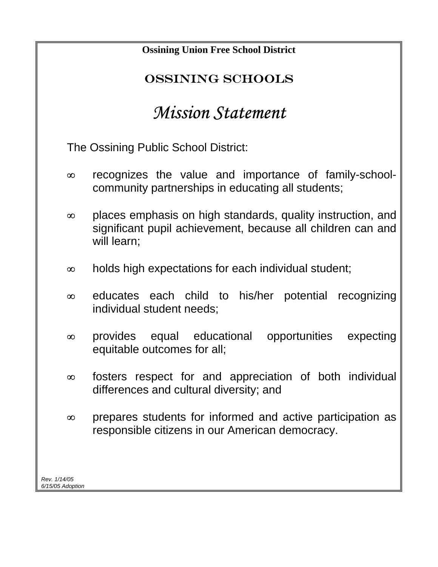| <b>Ossining Union Free School District</b>                                                                                                            |
|-------------------------------------------------------------------------------------------------------------------------------------------------------|
| <b>OSSINING SCHOOLS</b>                                                                                                                               |
| <b>Mission Statement</b>                                                                                                                              |
| The Ossining Public School District:                                                                                                                  |
| recognizes the value and importance of family-school-<br>$\infty$<br>community partnerships in educating all students;                                |
| places emphasis on high standards, quality instruction, and<br>$\infty$<br>significant pupil achievement, because all children can and<br>will learn; |
| holds high expectations for each individual student;<br>$\infty$                                                                                      |
| educates each child to his/her potential<br>recognizing<br>$\infty$<br>individual student needs;                                                      |
| equal educational opportunities<br>provides<br>expecting<br>$\infty$<br>equitable outcomes for all;                                                   |
| fosters respect for and appreciation of both individual<br>$\infty$<br>differences and cultural diversity; and                                        |
| prepares students for informed and active participation as<br>$\infty$<br>responsible citizens in our American democracy.                             |
| Rev. 1/14/05                                                                                                                                          |
| 6/15/05 Adoption                                                                                                                                      |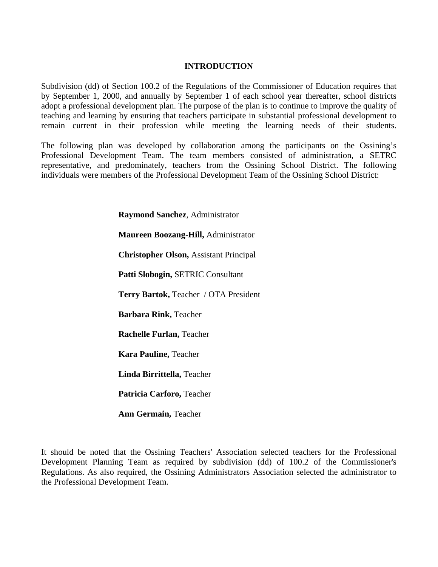#### **INTRODUCTION**

Subdivision (dd) of Section 100.2 of the Regulations of the Commissioner of Education requires that by September 1, 2000, and annually by September 1 of each school year thereafter, school districts adopt a professional development plan. The purpose of the plan is to continue to improve the quality of teaching and learning by ensuring that teachers participate in substantial professional development to remain current in their profession while meeting the learning needs of their students.

The following plan was developed by collaboration among the participants on the Ossining's Professional Development Team. The team members consisted of administration, a SETRC representative, and predominately, teachers from the Ossining School District. The following individuals were members of the Professional Development Team of the Ossining School District:

**Raymond Sanchez**, Administrator

**Maureen Boozang-Hill,** Administrator

**Christopher Olson,** Assistant Principal

**Patti Slobogin,** SETRIC Consultant

**Terry Bartok,** Teacher / OTA President

**Barbara Rink,** Teacher

**Rachelle Furlan,** Teacher

**Kara Pauline,** Teacher

**Linda Birrittella,** Teacher

**Patricia Carforo,** Teacher

**Ann Germain,** Teacher

It should be noted that the Ossining Teachers' Association selected teachers for the Professional Development Planning Team as required by subdivision (dd) of 100.2 of the Commissioner's Regulations. As also required, the Ossining Administrators Association selected the administrator to the Professional Development Team.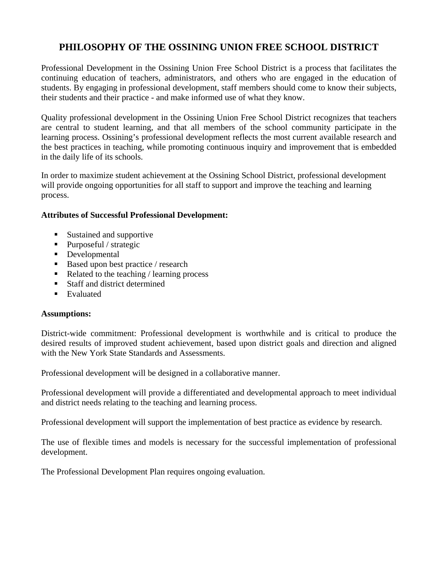## **PHILOSOPHY OF THE OSSINING UNION FREE SCHOOL DISTRICT**

Professional Development in the Ossining Union Free School District is a process that facilitates the continuing education of teachers, administrators, and others who are engaged in the education of students. By engaging in professional development, staff members should come to know their subjects, their students and their practice - and make informed use of what they know.

Quality professional development in the Ossining Union Free School District recognizes that teachers are central to student learning, and that all members of the school community participate in the learning process. Ossining's professional development reflects the most current available research and the best practices in teaching, while promoting continuous inquiry and improvement that is embedded in the daily life of its schools.

In order to maximize student achievement at the Ossining School District, professional development will provide ongoing opportunities for all staff to support and improve the teaching and learning process.

#### **Attributes of Successful Professional Development:**

- Sustained and supportive
- Purposeful / strategic
- Developmental
- Based upon best practice / research
- $\blacksquare$  Related to the teaching / learning process
- Staff and district determined
- **Evaluated**

#### **Assumptions:**

District-wide commitment: Professional development is worthwhile and is critical to produce the desired results of improved student achievement, based upon district goals and direction and aligned with the New York State Standards and Assessments.

Professional development will be designed in a collaborative manner.

Professional development will provide a differentiated and developmental approach to meet individual and district needs relating to the teaching and learning process.

Professional development will support the implementation of best practice as evidence by research.

The use of flexible times and models is necessary for the successful implementation of professional development.

The Professional Development Plan requires ongoing evaluation.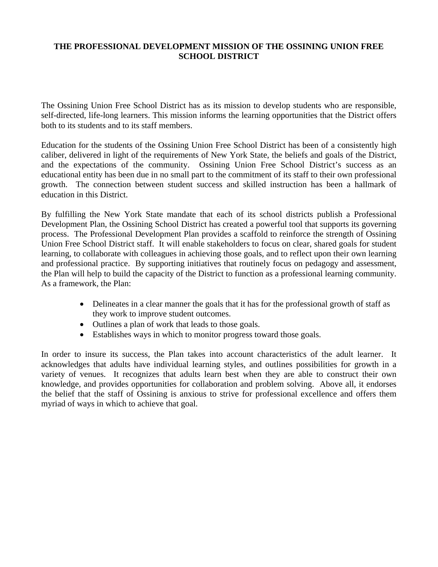#### **THE PROFESSIONAL DEVELOPMENT MISSION OF THE OSSINING UNION FREE SCHOOL DISTRICT**

The Ossining Union Free School District has as its mission to develop students who are responsible, self-directed, life-long learners. This mission informs the learning opportunities that the District offers both to its students and to its staff members.

Education for the students of the Ossining Union Free School District has been of a consistently high caliber, delivered in light of the requirements of New York State, the beliefs and goals of the District, and the expectations of the community. Ossining Union Free School District's success as an educational entity has been due in no small part to the commitment of its staff to their own professional growth. The connection between student success and skilled instruction has been a hallmark of education in this District.

By fulfilling the New York State mandate that each of its school districts publish a Professional Development Plan, the Ossining School District has created a powerful tool that supports its governing process. The Professional Development Plan provides a scaffold to reinforce the strength of Ossining Union Free School District staff. It will enable stakeholders to focus on clear, shared goals for student learning, to collaborate with colleagues in achieving those goals, and to reflect upon their own learning and professional practice. By supporting initiatives that routinely focus on pedagogy and assessment, the Plan will help to build the capacity of the District to function as a professional learning community. As a framework, the Plan:

- Delineates in a clear manner the goals that it has for the professional growth of staff as they work to improve student outcomes.
- Outlines a plan of work that leads to those goals.
- Establishes ways in which to monitor progress toward those goals.

In order to insure its success, the Plan takes into account characteristics of the adult learner. It acknowledges that adults have individual learning styles, and outlines possibilities for growth in a variety of venues. It recognizes that adults learn best when they are able to construct their own knowledge, and provides opportunities for collaboration and problem solving. Above all, it endorses the belief that the staff of Ossining is anxious to strive for professional excellence and offers them myriad of ways in which to achieve that goal.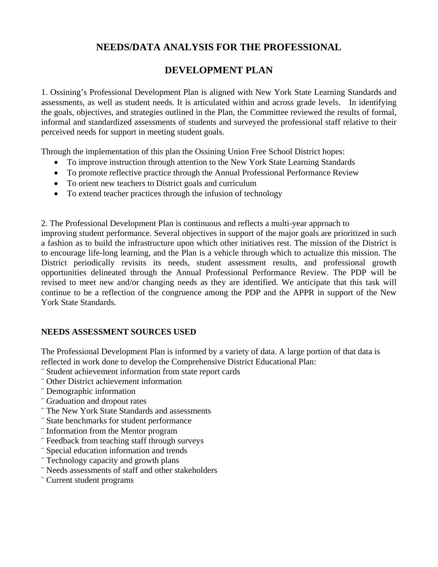## **NEEDS/DATA ANALYSIS FOR THE PROFESSIONAL**

# **DEVELOPMENT PLAN**

1. Ossining's Professional Development Plan is aligned with New York State Learning Standards and assessments, as well as student needs. It is articulated within and across grade levels. In identifying the goals, objectives, and strategies outlined in the Plan, the Committee reviewed the results of formal, informal and standardized assessments of students and surveyed the professional staff relative to their perceived needs for support in meeting student goals.

Through the implementation of this plan the Ossining Union Free School District hopes:

- To improve instruction through attention to the New York State Learning Standards
- To promote reflective practice through the Annual Professional Performance Review
- To orient new teachers to District goals and curriculum
- To extend teacher practices through the infusion of technology

2. The Professional Development Plan is continuous and reflects a multi-year approach to improving student performance. Several objectives in support of the major goals are prioritized in such a fashion as to build the infrastructure upon which other initiatives rest. The mission of the District is to encourage life-long learning, and the Plan is a vehicle through which to actualize this mission. The District periodically revisits its needs, student assessment results, and professional growth opportunities delineated through the Annual Professional Performance Review. The PDP will be revised to meet new and/or changing needs as they are identified. We anticipate that this task will continue to be a reflection of the congruence among the PDP and the APPR in support of the New York State Standards.

#### **NEEDS ASSESSMENT SOURCES USED**

The Professional Development Plan is informed by a variety of data. A large portion of that data is reflected in work done to develop the Comprehensive District Educational Plan:

- ¨ Student achievement information from state report cards
- ¨ Other District achievement information
- ¨ Demographic information
- ¨ Graduation and dropout rates
- ¨ The New York State Standards and assessments
- ¨ State benchmarks for student performance
- ¨ Information from the Mentor program
- ¨ Feedback from teaching staff through surveys
- ¨ Special education information and trends
- ¨ Technology capacity and growth plans
- ¨ Needs assessments of staff and other stakeholders
- ¨ Current student programs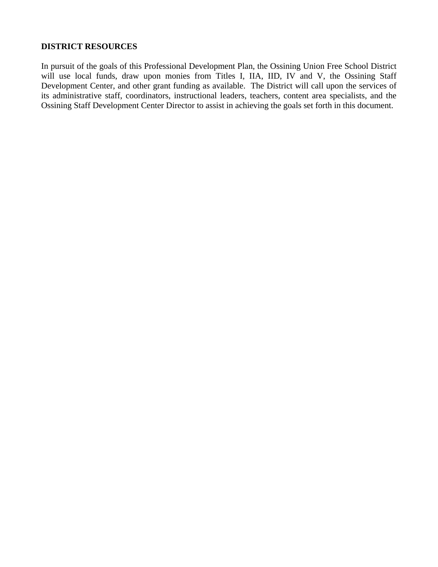#### **DISTRICT RESOURCES**

In pursuit of the goals of this Professional Development Plan, the Ossining Union Free School District will use local funds, draw upon monies from Titles I, IIA, IID, IV and V, the Ossining Staff Development Center, and other grant funding as available. The District will call upon the services of its administrative staff, coordinators, instructional leaders, teachers, content area specialists, and the Ossining Staff Development Center Director to assist in achieving the goals set forth in this document.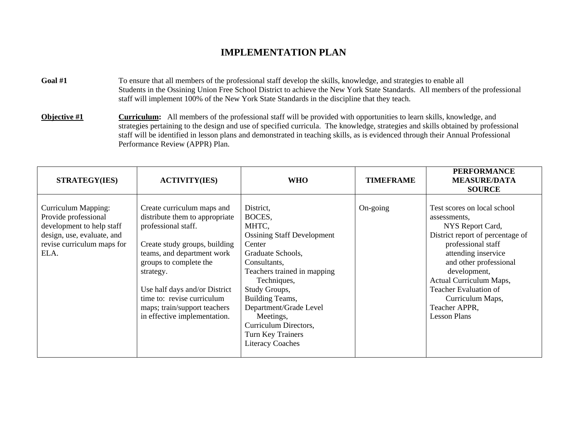- Goal #1 To ensure that all members of the professional staff develop the skills, knowledge, and strategies to enable all Students in the Ossining Union Free School District to achieve the New York State Standards. All members of the professional staff will implement 100% of the New York State Standards in the discipline that they teach.
- **Objective #1** Curriculum: All members of the professional staff will be provided with opportunities to learn skills, knowledge, and strategies pertaining to the design and use of specified curricula. The knowledge, strategies and skills obtained by professional staff will be identified in lesson plans and demonstrated in teaching skills, as is evidenced through their Annual Professional Performance Review (APPR) Plan.

| <b>STRATEGY(IES)</b>                                                                                                                         | <b>ACTIVITY(IES)</b>                                                                                                                                                                                                                                                                                                     | <b>WHO</b>                                                                                                                                                                                                                                                                                                         | <b>TIMEFRAME</b> | <b>PERFORMANCE</b><br><b>MEASURE/DATA</b><br><b>SOURCE</b>                                                                                                                                                                                                                                                 |
|----------------------------------------------------------------------------------------------------------------------------------------------|--------------------------------------------------------------------------------------------------------------------------------------------------------------------------------------------------------------------------------------------------------------------------------------------------------------------------|--------------------------------------------------------------------------------------------------------------------------------------------------------------------------------------------------------------------------------------------------------------------------------------------------------------------|------------------|------------------------------------------------------------------------------------------------------------------------------------------------------------------------------------------------------------------------------------------------------------------------------------------------------------|
| Curriculum Mapping:<br>Provide professional<br>development to help staff<br>design, use, evaluate, and<br>revise curriculum maps for<br>ELA. | Create curriculum maps and<br>distribute them to appropriate<br>professional staff.<br>Create study groups, building<br>teams, and department work<br>groups to complete the<br>strategy.<br>Use half days and/or District<br>time to: revise curriculum<br>maps; train/support teachers<br>in effective implementation. | District,<br>BOCES,<br>MHTC,<br><b>Ossining Staff Development</b><br>Center<br>Graduate Schools,<br>Consultants,<br>Teachers trained in mapping<br>Techniques,<br>Study Groups,<br>Building Teams,<br>Department/Grade Level<br>Meetings,<br>Curriculum Directors,<br>Turn Key Trainers<br><b>Literacy Coaches</b> | On-going         | Test scores on local school<br>assessments,<br>NYS Report Card,<br>District report of percentage of<br>professional staff<br>attending inservice<br>and other professional<br>development,<br>Actual Curriculum Maps,<br>Teacher Evaluation of<br>Curriculum Maps,<br>Teacher APPR,<br><b>Lesson Plans</b> |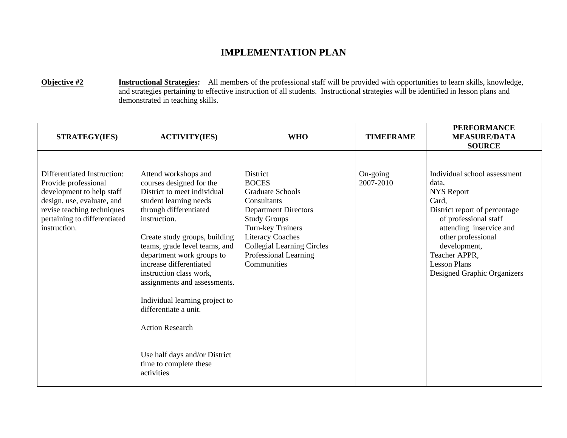**Objective #2 Instructional Strategies:** All members of the professional staff will be provided with opportunities to learn skills, knowledge, and strategies pertaining to effective instruction of all students. Instructional strategies will be identified in lesson plans and demonstrated in teaching skills.

| <b>STRATEGY(IES)</b>                                                                                                                                                                         | <b>ACTIVITY(IES)</b>                                                                                                                                                                                                                                                                                                                                                                                                                                                                                   | <b>WHO</b>                                                                                                                                                                                                                                            | <b>TIMEFRAME</b>      | <b>PERFORMANCE</b><br><b>MEASURE/DATA</b><br><b>SOURCE</b>                                                                                                                                                                                                            |
|----------------------------------------------------------------------------------------------------------------------------------------------------------------------------------------------|--------------------------------------------------------------------------------------------------------------------------------------------------------------------------------------------------------------------------------------------------------------------------------------------------------------------------------------------------------------------------------------------------------------------------------------------------------------------------------------------------------|-------------------------------------------------------------------------------------------------------------------------------------------------------------------------------------------------------------------------------------------------------|-----------------------|-----------------------------------------------------------------------------------------------------------------------------------------------------------------------------------------------------------------------------------------------------------------------|
| Differentiated Instruction:<br>Provide professional<br>development to help staff<br>design, use, evaluate, and<br>revise teaching techniques<br>pertaining to differentiated<br>instruction. | Attend workshops and<br>courses designed for the<br>District to meet individual<br>student learning needs<br>through differentiated<br>instruction.<br>Create study groups, building<br>teams, grade level teams, and<br>department work groups to<br>increase differentiated<br>instruction class work,<br>assignments and assessments.<br>Individual learning project to<br>differentiate a unit.<br><b>Action Research</b><br>Use half days and/or District<br>time to complete these<br>activities | District<br><b>BOCES</b><br><b>Graduate Schools</b><br>Consultants<br><b>Department Directors</b><br><b>Study Groups</b><br>Turn-key Trainers<br><b>Literacy Coaches</b><br><b>Collegial Learning Circles</b><br>Professional Learning<br>Communities | On-going<br>2007-2010 | Individual school assessment<br>data.<br><b>NYS Report</b><br>Card,<br>District report of percentage<br>of professional staff<br>attending inservice and<br>other professional<br>development,<br>Teacher APPR,<br><b>Lesson Plans</b><br>Designed Graphic Organizers |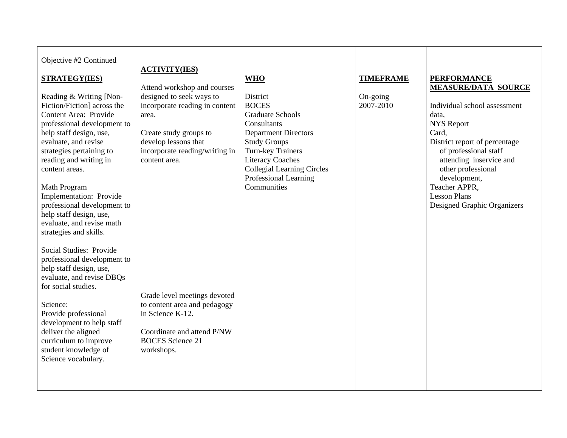| Objective #2 Continued<br><b>STRATEGY(IES)</b><br>Reading & Writing [Non-<br>Fiction/Fiction] across the<br>Content Area: Provide<br>professional development to<br>help staff design, use,<br>evaluate, and revise<br>strategies pertaining to<br>reading and writing in<br>content areas.<br>Math Program | <b>ACTIVITY(IES)</b><br>Attend workshop and courses<br>designed to seek ways to<br>incorporate reading in content<br>area.<br>Create study groups to<br>develop lessons that<br>incorporate reading/writing in<br>content area. | <b>WHO</b><br>District<br><b>BOCES</b><br><b>Graduate Schools</b><br>Consultants<br><b>Department Directors</b><br><b>Study Groups</b><br>Turn-key Trainers<br><b>Literacy Coaches</b><br><b>Collegial Learning Circles</b><br>Professional Learning<br>Communities | <b>TIMEFRAME</b><br>On-going<br>2007-2010 | <b>PERFORMANCE</b><br><b>MEASURE/DATA SOURCE</b><br>Individual school assessment<br>data,<br><b>NYS</b> Report<br>Card,<br>District report of percentage<br>of professional staff<br>attending inservice and<br>other professional<br>development,<br>Teacher APPR, |
|-------------------------------------------------------------------------------------------------------------------------------------------------------------------------------------------------------------------------------------------------------------------------------------------------------------|---------------------------------------------------------------------------------------------------------------------------------------------------------------------------------------------------------------------------------|---------------------------------------------------------------------------------------------------------------------------------------------------------------------------------------------------------------------------------------------------------------------|-------------------------------------------|---------------------------------------------------------------------------------------------------------------------------------------------------------------------------------------------------------------------------------------------------------------------|
| Implementation: Provide<br>professional development to<br>help staff design, use,<br>evaluate, and revise math<br>strategies and skills.<br>Social Studies: Provide<br>professional development to<br>help staff design, use,<br>evaluate, and revise DBQs                                                  |                                                                                                                                                                                                                                 |                                                                                                                                                                                                                                                                     |                                           | <b>Lesson Plans</b><br>Designed Graphic Organizers                                                                                                                                                                                                                  |
| for social studies.<br>Science:<br>Provide professional<br>development to help staff<br>deliver the aligned<br>curriculum to improve<br>student knowledge of<br>Science vocabulary.                                                                                                                         | Grade level meetings devoted<br>to content area and pedagogy<br>in Science K-12.<br>Coordinate and attend P/NW<br><b>BOCES</b> Science 21<br>workshops.                                                                         |                                                                                                                                                                                                                                                                     |                                           |                                                                                                                                                                                                                                                                     |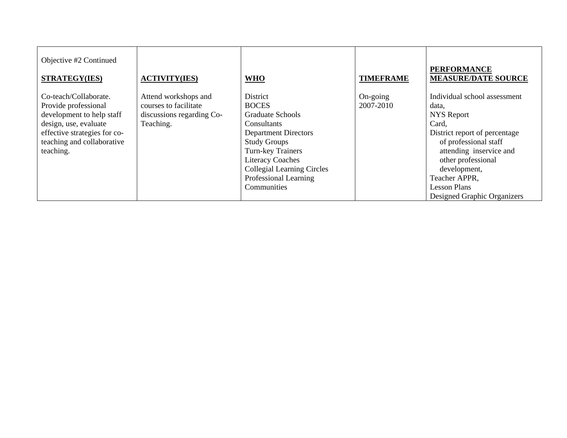| Objective #2 Continued<br><b>STRATEGY(IES)</b>                                                                                                                                 | <b>ACTIVITY(IES)</b>                                                                    | <b>WHO</b>                                                                                                                                                                                                                                            | <b>TIMEFRAME</b>      | <b>PERFORMANCE</b><br><b>MEASURE/DATE SOURCE</b>                                                                                                                                                                                                                      |
|--------------------------------------------------------------------------------------------------------------------------------------------------------------------------------|-----------------------------------------------------------------------------------------|-------------------------------------------------------------------------------------------------------------------------------------------------------------------------------------------------------------------------------------------------------|-----------------------|-----------------------------------------------------------------------------------------------------------------------------------------------------------------------------------------------------------------------------------------------------------------------|
| Co-teach/Collaborate.<br>Provide professional<br>development to help staff<br>design, use, evaluate<br>effective strategies for co-<br>teaching and collaborative<br>teaching. | Attend workshops and<br>courses to facilitate<br>discussions regarding Co-<br>Teaching. | District<br><b>BOCES</b><br><b>Graduate Schools</b><br>Consultants<br><b>Department Directors</b><br><b>Study Groups</b><br>Turn-key Trainers<br><b>Literacy Coaches</b><br><b>Collegial Learning Circles</b><br>Professional Learning<br>Communities | On-going<br>2007-2010 | Individual school assessment<br>data,<br><b>NYS</b> Report<br>Card,<br>District report of percentage<br>of professional staff<br>attending inservice and<br>other professional<br>development,<br>Teacher APPR,<br><b>Lesson Plans</b><br>Designed Graphic Organizers |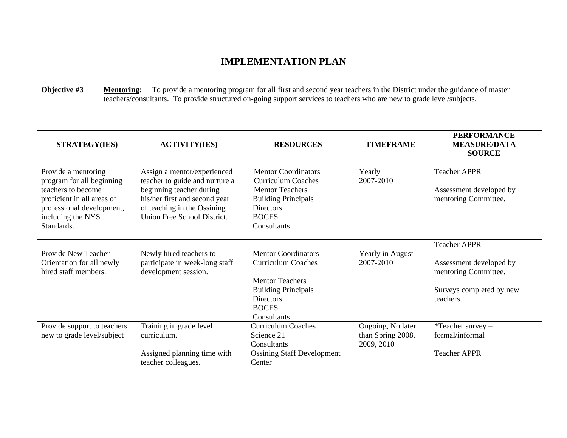**Objective #3** Mentoring: To provide a mentoring program for all first and second year teachers in the District under the guidance of master teachers/consultants. To provide structured on-going support services to teachers who are new to grade level/subjects.

| <b>STRATEGY(IES)</b>                                                                                                                                                 | <b>ACTIVITY(IES)</b>                                                                                                                                                                     | <b>RESOURCES</b>                                                                                                                                                   | <b>TIMEFRAME</b>                                     | <b>PERFORMANCE</b><br><b>MEASURE/DATA</b><br><b>SOURCE</b>                                                      |
|----------------------------------------------------------------------------------------------------------------------------------------------------------------------|------------------------------------------------------------------------------------------------------------------------------------------------------------------------------------------|--------------------------------------------------------------------------------------------------------------------------------------------------------------------|------------------------------------------------------|-----------------------------------------------------------------------------------------------------------------|
| Provide a mentoring<br>program for all beginning<br>teachers to become<br>proficient in all areas of<br>professional development,<br>including the NYS<br>Standards. | Assign a mentor/experienced<br>teacher to guide and nurture a<br>beginning teacher during<br>his/her first and second year<br>of teaching in the Ossining<br>Union Free School District. | <b>Mentor Coordinators</b><br><b>Curriculum Coaches</b><br><b>Mentor Teachers</b><br><b>Building Principals</b><br><b>Directors</b><br><b>BOCES</b><br>Consultants | Yearly<br>2007-2010                                  | <b>Teacher APPR</b><br>Assessment developed by<br>mentoring Committee.                                          |
| Provide New Teacher<br>Orientation for all newly<br>hired staff members.                                                                                             | Newly hired teachers to<br>participate in week-long staff<br>development session.                                                                                                        | <b>Mentor Coordinators</b><br><b>Curriculum Coaches</b><br><b>Mentor Teachers</b><br><b>Building Principals</b><br><b>Directors</b><br><b>BOCES</b><br>Consultants | Yearly in August<br>2007-2010                        | <b>Teacher APPR</b><br>Assessment developed by<br>mentoring Committee.<br>Surveys completed by new<br>teachers. |
| Provide support to teachers<br>new to grade level/subject                                                                                                            | Training in grade level<br>curriculum.<br>Assigned planning time with<br>teacher colleagues.                                                                                             | <b>Curriculum Coaches</b><br>Science 21<br>Consultants<br><b>Ossining Staff Development</b><br>Center                                                              | Ongoing, No later<br>than Spring 2008.<br>2009, 2010 | *Teacher survey -<br>formal/informal<br><b>Teacher APPR</b>                                                     |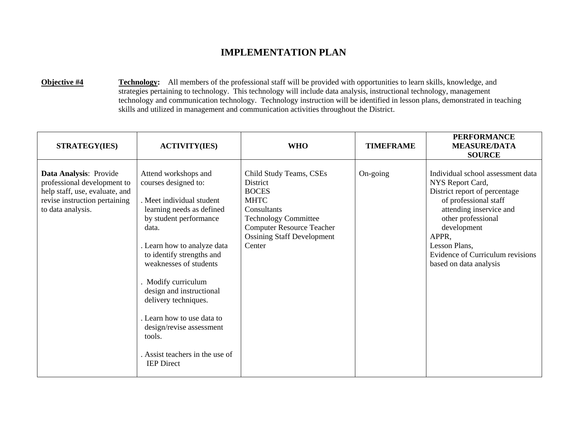**Objective #4** Technology: All members of the professional staff will be provided with opportunities to learn skills, knowledge, and strategies pertaining to technology. This technology will include data analysis, instructional technology, management technology and communication technology. Technology instruction will be identified in lesson plans, demonstrated in teaching skills and utilized in management and communication activities throughout the District.

| <b>STRATEGY(IES)</b>                                                                                                                          | <b>ACTIVITY(IES)</b>                                                                                                                                                                                                                                                                                                                                                                                                                 | <b>WHO</b>                                                                                                                                                                                          | <b>TIMEFRAME</b> | <b>PERFORMANCE</b><br><b>MEASURE/DATA</b><br><b>SOURCE</b>                                                                                                                                                                                                              |
|-----------------------------------------------------------------------------------------------------------------------------------------------|--------------------------------------------------------------------------------------------------------------------------------------------------------------------------------------------------------------------------------------------------------------------------------------------------------------------------------------------------------------------------------------------------------------------------------------|-----------------------------------------------------------------------------------------------------------------------------------------------------------------------------------------------------|------------------|-------------------------------------------------------------------------------------------------------------------------------------------------------------------------------------------------------------------------------------------------------------------------|
| Data Analysis: Provide<br>professional development to<br>help staff, use, evaluate, and<br>revise instruction pertaining<br>to data analysis. | Attend workshops and<br>courses designed to:<br>. Meet individual student<br>learning needs as defined<br>by student performance<br>data.<br>. Learn how to analyze data<br>to identify strengths and<br>weaknesses of students<br>. Modify curriculum<br>design and instructional<br>delivery techniques.<br>. Learn how to use data to<br>design/revise assessment<br>tools.<br>Assist teachers in the use of<br><b>IEP</b> Direct | Child Study Teams, CSEs<br>District<br><b>BOCES</b><br><b>MHTC</b><br>Consultants<br><b>Technology Committee</b><br><b>Computer Resource Teacher</b><br><b>Ossining Staff Development</b><br>Center | On-going         | Individual school assessment data<br>NYS Report Card,<br>District report of percentage<br>of professional staff<br>attending inservice and<br>other professional<br>development<br>APPR,<br>Lesson Plans,<br>Evidence of Curriculum revisions<br>based on data analysis |